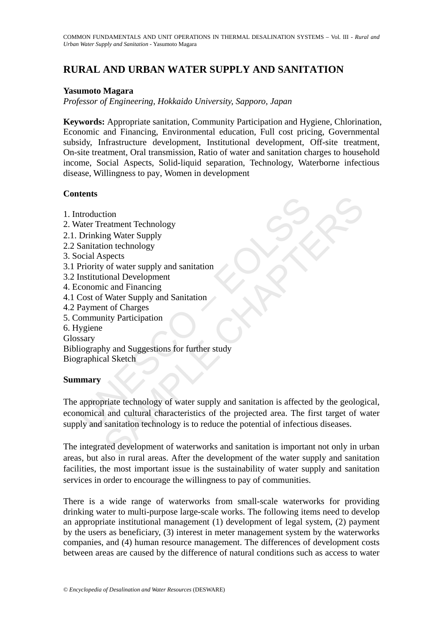# **RURAL AND URBAN WATER SUPPLY AND SANITATION**

### **Yasumoto Magara**

*Professor of Engineering, Hokkaido University, Sapporo, Japan*

**Keywords:** Appropriate sanitation, Community Participation and Hygiene, Chlorination, Economic and Financing, Environmental education, Full cost pricing, Governmental subsidy, Infrastructure development, Institutional development, Off-site treatment, On-site treatment, Oral transmission, Ratio of water and sanitation charges to household income, Social Aspects, Solid-liquid separation, Technology, Waterborne infectious disease, Willingness to pay, Women in development

## **Contents**

According Water Treatment Technology<br>
Value Treatment Technology<br>
Drinking Water Supply<br>
Sanitation technology<br>
Priority of water supply and sanitation<br>
Institutional Development<br>
Construction of Charges<br>
Cost of Water Sup tion<br>
teatment Technology<br>
mg Water Supply<br>
ion technology<br>
spects<br>
of water supply and sanitation<br>
ic and Financing<br>
ic and Financing<br>
Water Supply and Sanitation<br>
to Charges<br>
mity Participation<br>
by and Suggestions for fu 1. Introduction 2. Water Treatment Technology 2.1. Drinking Water Supply 2.2 Sanitation technology 3. Social Aspects 3.1 Priority of water supply and sanitation 3.2 Institutional Development 4. Economic and Financing 4.1 Cost of Water Supply and Sanitation 4.2 Payment of Charges 5. Community Participation 6. Hygiene Glossary Bibliography and Suggestions for further study Biographical Sketch **Summary** 

The appropriate technology of water supply and sanitation is affected by the geological, economical and cultural characteristics of the projected area. The first target of water supply and sanitation technology is to reduce the potential of infectious diseases.

The integrated development of waterworks and sanitation is important not only in urban areas, but also in rural areas. After the development of the water supply and sanitation facilities, the most important issue is the sustainability of water supply and sanitation services in order to encourage the willingness to pay of communities.

There is a wide range of waterworks from small-scale waterworks for providing drinking water to multi-purpose large-scale works. The following items need to develop an appropriate institutional management (1) development of legal system, (2) payment by the users as beneficiary, (3) interest in meter management system by the waterworks companies, and (4) human resource management. The differences of development costs between areas are caused by the difference of natural conditions such as access to water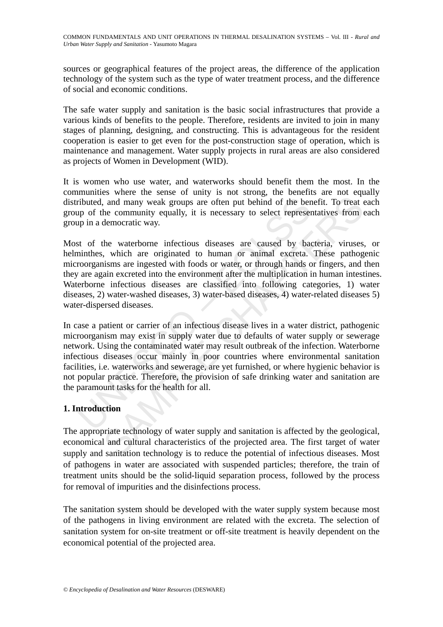sources or geographical features of the project areas, the difference of the application technology of the system such as the type of water treatment process, and the difference of social and economic conditions.

The safe water supply and sanitation is the basic social infrastructures that provide a various kinds of benefits to the people. Therefore, residents are invited to join in many stages of planning, designing, and constructing. This is advantageous for the resident cooperation is easier to get even for the post-construction stage of operation, which is maintenance and management. Water supply projects in rural areas are also considered as projects of Women in Development (WID).

It is women who use water, and waterworks should benefit them the most. In the communities where the sense of unity is not strong, the benefits are not equally distributed, and many weak groups are often put behind of the benefit. To treat each group of the community equally, it is necessary to select representatives from each group in a democratic way.

ributed, and many weak groups are often put behind of the ben<br>up of the community equally, it is necessary to select represer<br>up in a democratic way.<br>to the waterborne infectious diseases are caused by baa<br>ininthes, which and many weak groups are often put behind of the benefit. To treat of<br>the community equally, it is necessary to select representatives from edemocratic way.<br>He waterborne infectious diseases are caused by bacteria, viruses Most of the waterborne infectious diseases are caused by bacteria, viruses, or helminthes, which are originated to human or animal excreta. These pathogenic microorganisms are ingested with foods or water, or through hands or fingers, and then they are again excreted into the environment after the multiplication in human intestines. Waterborne infectious diseases are classified into following categories, 1) water diseases, 2) water-washed diseases, 3) water-based diseases, 4) water-related diseases 5) water-dispersed diseases.

In case a patient or carrier of an infectious disease lives in a water district, pathogenic microorganism may exist in supply water due to defaults of water supply or sewerage network. Using the contaminated water may result outbreak of the infection. Waterborne infectious diseases occur mainly in poor countries where environmental sanitation facilities, i.e. waterworks and sewerage, are yet furnished, or where hygienic behavior is not popular practice. Therefore, the provision of safe drinking water and sanitation are the paramount tasks for the health for all.

## **1. Introduction**

The appropriate technology of water supply and sanitation is affected by the geological, economical and cultural characteristics of the projected area. The first target of water supply and sanitation technology is to reduce the potential of infectious diseases. Most of pathogens in water are associated with suspended particles; therefore, the train of treatment units should be the solid-liquid separation process, followed by the process for removal of impurities and the disinfections process.

The sanitation system should be developed with the water supply system because most of the pathogens in living environment are related with the excreta. The selection of sanitation system for on-site treatment or off-site treatment is heavily dependent on the economical potential of the projected area.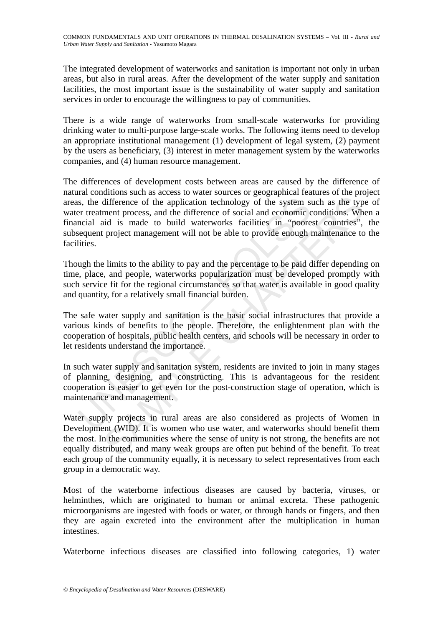The integrated development of waterworks and sanitation is important not only in urban areas, but also in rural areas. After the development of the water supply and sanitation facilities, the most important issue is the sustainability of water supply and sanitation services in order to encourage the willingness to pay of communities.

There is a wide range of waterworks from small-scale waterworks for providing drinking water to multi-purpose large-scale works. The following items need to develop an appropriate institutional management (1) development of legal system, (2) payment by the users as beneficiary, (3) interest in meter management system by the waterworks companies, and (4) human resource management.

is, the difference of the application technology of the system since the system set treatment process, and the difference of social and economic concial aid is made to build waterworks facilities in "poore equent project m difference of the application technology of the system such as the typ<br>difference of the application technology of the system such as the typ<br>ment process, and the difference of social and economic conditions. Wh<br>ind is ma The differences of development costs between areas are caused by the difference of natural conditions such as access to water sources or geographical features of the project areas, the difference of the application technology of the system such as the type of water treatment process, and the difference of social and economic conditions. When a financial aid is made to build waterworks facilities in "poorest countries", the subsequent project management will not be able to provide enough maintenance to the facilities.

Though the limits to the ability to pay and the percentage to be paid differ depending on time, place, and people, waterworks popularization must be developed promptly with such service fit for the regional circumstances so that water is available in good quality and quantity, for a relatively small financial burden.

The safe water supply and sanitation is the basic social infrastructures that provide a various kinds of benefits to the people. Therefore, the enlightenment plan with the cooperation of hospitals, public health centers, and schools will be necessary in order to let residents understand the importance.

In such water supply and sanitation system, residents are invited to join in many stages of planning, designing, and constructing. This is advantageous for the resident cooperation is easier to get even for the post-construction stage of operation, which is maintenance and management.

Water supply projects in rural areas are also considered as projects of Women in Development (WID). It is women who use water, and waterworks should benefit them the most. In the communities where the sense of unity is not strong, the benefits are not equally distributed, and many weak groups are often put behind of the benefit. To treat each group of the community equally, it is necessary to select representatives from each group in a democratic way.

Most of the waterborne infectious diseases are caused by bacteria, viruses, or helminthes, which are originated to human or animal excreta. These pathogenic microorganisms are ingested with foods or water, or through hands or fingers, and then they are again excreted into the environment after the multiplication in human intestines.

Waterborne infectious diseases are classified into following categories, 1) water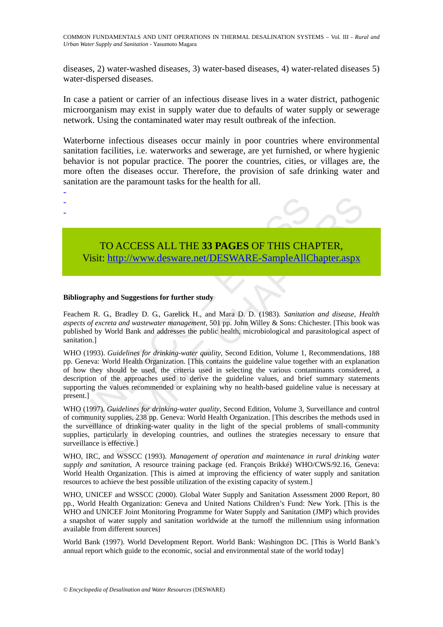COMMON FUNDAMENTALS AND UNIT OPERATIONS IN THERMAL DESALINATION SYSTEMS – Vol. III - *Rural and Urban Water Supply and Sanitation* - Yasumoto Magara

diseases, 2) water-washed diseases, 3) water-based diseases, 4) water-related diseases 5) water-dispersed diseases.

In case a patient or carrier of an infectious disease lives in a water district, pathogenic microorganism may exist in supply water due to defaults of water supply or sewerage network. Using the contaminated water may result outbreak of the infection.

Waterborne infectious diseases occur mainly in poor countries where environmental sanitation facilities, i.e. waterworks and sewerage, are yet furnished, or where hygienic behavior is not popular practice. The poorer the countries, cities, or villages are, the more often the diseases occur. Therefore, the provision of safe drinking water and sanitation are the paramount tasks for the health for all.

- -

-



TO ACCESS ALL THE **33 PAGES** OF THIS CHAPTER, Visit: http://www.desware.net/DESWARE-SampleAllChapter.aspx

#### **Bibliography and Suggestions for further study**

Feachem R. G., Bradley D. G., Garelick H., and Mara D. D. (1983). *Sanitation and disease, Health aspects of excreta and wastewater management*, 501 pp. John Willey & Sons: Chichester. [This book was published by World Bank and addresses the public health, microbiological and parasitological aspect of sanitation.]

TO ACCESS ALL THE 33 PAGES OF THIS CHA<br>Visit: http://www.desware.net/DESWARE-SampleAllC<br>Visit: http://www.desware.net/DESWARE-SampleAllC<br>iography and Suggestions for further study<br>hem R. G., Bradley D. G., Garelick H., and **TO ACCESS ALL THE 33 PAGES OF THIS CHA[PTE](https://www.eolss.net/ebooklib/sc_cart.aspx?File=E2-20B-02-00)R,**<br> **SAMPLE CHAPTER,**<br> **SAMPLE CHAPTER,**<br> **SAMPLE CHAPTER,**<br> **SAMPLE CHAPTER,**<br> **CA** Bradley D. G. Gareliek H., and Mara D. D. (1983). *Sanitation and disease, Hereta and wastewat* WHO (1993). *Guidelines for drinking-water quality*, Second Edition, Volume 1, Recommendations, 188 pp. Geneva: World Health Organization. [This contains the guideline value together with an explanation of how they should be used, the criteria used in selecting the various contaminants considered, a description of the approaches used to derive the guideline values, and brief summary statements supporting the values recommended or explaining why no health-based guideline value is necessary at present.]

WHO (1997). *Guidelines for drinking-water quality*, Second Edition, Volume 3, Surveillance and control of community supplies, 238 pp. Geneva: World Health Organization. [This describes the methods used in the surveillance of drinking-water quality in the light of the special problems of small-community supplies, particularly in developing countries, and outlines the strategies necessary to ensure that surveillance is effective.]

WHO, IRC, and WSSCC (1993). *Management of operation and maintenance in rural drinking water supply and sanitation*, A resource training package (ed. François Brikké) WHO/CWS/92.16, Geneva: World Health Organization. [This is aimed at improving the efficiency of water supply and sanitation resources to achieve the best possible utilization of the existing capacity of system.]

WHO, UNICEF and WSSCC (2000). Global Water Supply and Sanitation Assessment 2000 Report, 80 pp., World Health Organization: Geneva and United Nations Children's Fund: New York. [This is the WHO and UNICEF Joint Monitoring Programme for Water Supply and Sanitation (JMP) which provides a snapshot of water supply and sanitation worldwide at the turnoff the millennium using information available from different sources]

World Bank (1997). World Development Report. World Bank: Washington DC. [This is World Bank's annual report which guide to the economic, social and environmental state of the world today]